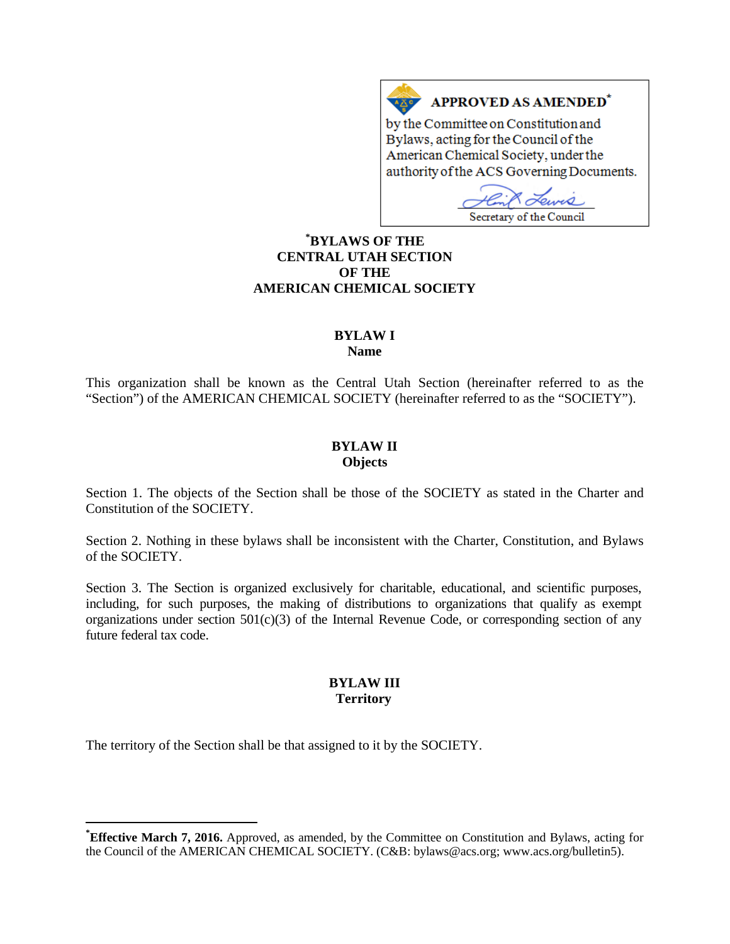# APPROVED AS AMENDED\*

by the Committee on Constitution and Bylaws, acting for the Council of the American Chemical Society, under the authority of the ACS Governing Documents.

 $O_{IMAC}$ Secretary of the Council

# **[\\*](#page-0-0) BYLAWS OF THE CENTRAL UTAH SECTION OF THE AMERICAN CHEMICAL SOCIETY**

# **BYLAW I**

**Name**

This organization shall be known as the Central Utah Section (hereinafter referred to as the "Section") of the AMERICAN CHEMICAL SOCIETY (hereinafter referred to as the "SOCIETY").

#### **BYLAW II Objects**

Section 1. The objects of the Section shall be those of the SOCIETY as stated in the Charter and Constitution of the SOCIETY.

Section 2. Nothing in these bylaws shall be inconsistent with the Charter, Constitution, and Bylaws of the SOCIETY.

Section 3. The Section is organized exclusively for charitable, educational, and scientific purposes, including, for such purposes, the making of distributions to organizations that qualify as exempt organizations under section  $501(c)(3)$  of the Internal Revenue Code, or corresponding section of any future federal tax code.

#### **BYLAW III Territory**

The territory of the Section shall be that assigned to it by the SOCIETY.

<span id="page-0-0"></span>**\* Effective March 7, 2016.** Approved, as amended, by the Committee on Constitution and Bylaws, acting for the Council of the AMERICAN CHEMICAL SOCIETY. (C&B: bylaws@acs.org; www.acs.org/bulletin5).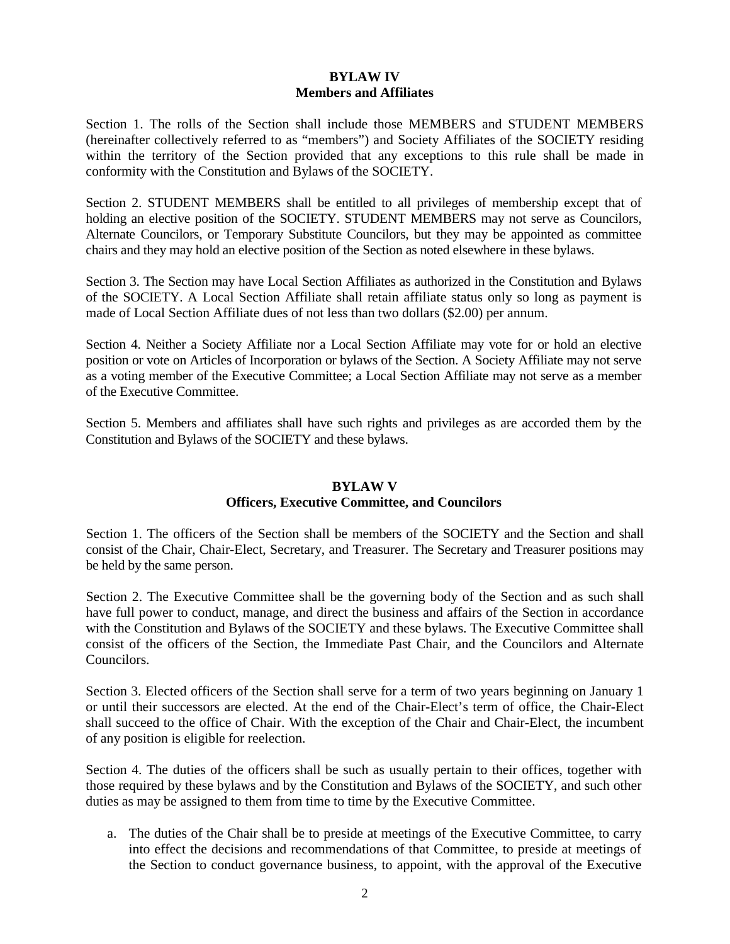# **BYLAW IV Members and Affiliates**

Section 1. The rolls of the Section shall include those MEMBERS and STUDENT MEMBERS (hereinafter collectively referred to as "members") and Society Affiliates of the SOCIETY residing within the territory of the Section provided that any exceptions to this rule shall be made in conformity with the Constitution and Bylaws of the SOCIETY.

Section 2. STUDENT MEMBERS shall be entitled to all privileges of membership except that of holding an elective position of the SOCIETY. STUDENT MEMBERS may not serve as Councilors, Alternate Councilors, or Temporary Substitute Councilors, but they may be appointed as committee chairs and they may hold an elective position of the Section as noted elsewhere in these bylaws.

Section 3. The Section may have Local Section Affiliates as authorized in the Constitution and Bylaws of the SOCIETY. A Local Section Affiliate shall retain affiliate status only so long as payment is made of Local Section Affiliate dues of not less than two dollars (\$2.00) per annum.

Section 4. Neither a Society Affiliate nor a Local Section Affiliate may vote for or hold an elective position or vote on Articles of Incorporation or bylaws of the Section. A Society Affiliate may not serve as a voting member of the Executive Committee; a Local Section Affiliate may not serve as a member of the Executive Committee.

Section 5. Members and affiliates shall have such rights and privileges as are accorded them by the Constitution and Bylaws of the SOCIETY and these bylaws.

#### **BYLAW V**

#### **Officers, Executive Committee, and Councilors**

Section 1. The officers of the Section shall be members of the SOCIETY and the Section and shall consist of the Chair, Chair-Elect, Secretary, and Treasurer. The Secretary and Treasurer positions may be held by the same person.

Section 2. The Executive Committee shall be the governing body of the Section and as such shall have full power to conduct, manage, and direct the business and affairs of the Section in accordance with the Constitution and Bylaws of the SOCIETY and these bylaws. The Executive Committee shall consist of the officers of the Section, the Immediate Past Chair, and the Councilors and Alternate Councilors.

Section 3. Elected officers of the Section shall serve for a term of two years beginning on January 1 or until their successors are elected. At the end of the Chair-Elect's term of office, the Chair-Elect shall succeed to the office of Chair. With the exception of the Chair and Chair-Elect, the incumbent of any position is eligible for reelection.

Section 4. The duties of the officers shall be such as usually pertain to their offices, together with those required by these bylaws and by the Constitution and Bylaws of the SOCIETY, and such other duties as may be assigned to them from time to time by the Executive Committee.

a. The duties of the Chair shall be to preside at meetings of the Executive Committee, to carry into effect the decisions and recommendations of that Committee, to preside at meetings of the Section to conduct governance business, to appoint, with the approval of the Executive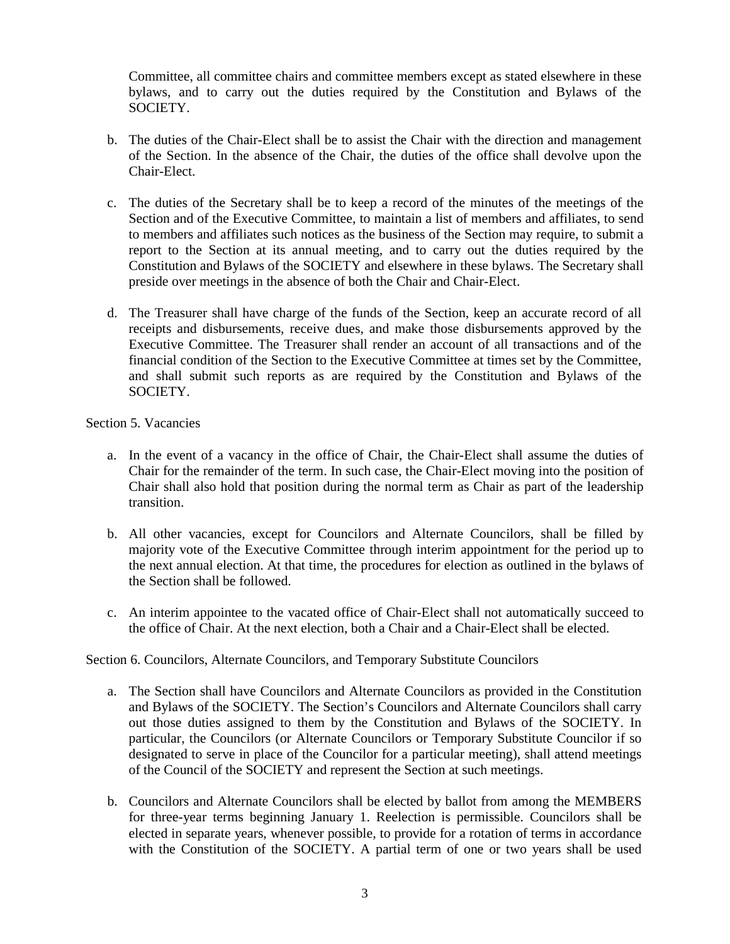Committee, all committee chairs and committee members except as stated elsewhere in these bylaws, and to carry out the duties required by the Constitution and Bylaws of the SOCIETY.

- b. The duties of the Chair-Elect shall be to assist the Chair with the direction and management of the Section. In the absence of the Chair, the duties of the office shall devolve upon the Chair-Elect.
- c. The duties of the Secretary shall be to keep a record of the minutes of the meetings of the Section and of the Executive Committee, to maintain a list of members and affiliates, to send to members and affiliates such notices as the business of the Section may require, to submit a report to the Section at its annual meeting, and to carry out the duties required by the Constitution and Bylaws of the SOCIETY and elsewhere in these bylaws. The Secretary shall preside over meetings in the absence of both the Chair and Chair-Elect.
- d. The Treasurer shall have charge of the funds of the Section, keep an accurate record of all receipts and disbursements, receive dues, and make those disbursements approved by the Executive Committee. The Treasurer shall render an account of all transactions and of the financial condition of the Section to the Executive Committee at times set by the Committee, and shall submit such reports as are required by the Constitution and Bylaws of the SOCIETY.

Section 5. Vacancies

- a. In the event of a vacancy in the office of Chair, the Chair-Elect shall assume the duties of Chair for the remainder of the term. In such case, the Chair-Elect moving into the position of Chair shall also hold that position during the normal term as Chair as part of the leadership transition.
- b. All other vacancies, except for Councilors and Alternate Councilors, shall be filled by majority vote of the Executive Committee through interim appointment for the period up to the next annual election. At that time, the procedures for election as outlined in the bylaws of the Section shall be followed.
- c. An interim appointee to the vacated office of Chair-Elect shall not automatically succeed to the office of Chair. At the next election, both a Chair and a Chair-Elect shall be elected.

#### Section 6. Councilors, Alternate Councilors, and Temporary Substitute Councilors

- a. The Section shall have Councilors and Alternate Councilors as provided in the Constitution and Bylaws of the SOCIETY. The Section's Councilors and Alternate Councilors shall carry out those duties assigned to them by the Constitution and Bylaws of the SOCIETY. In particular, the Councilors (or Alternate Councilors or Temporary Substitute Councilor if so designated to serve in place of the Councilor for a particular meeting), shall attend meetings of the Council of the SOCIETY and represent the Section at such meetings.
- b. Councilors and Alternate Councilors shall be elected by ballot from among the MEMBERS for three-year terms beginning January 1. Reelection is permissible. Councilors shall be elected in separate years, whenever possible, to provide for a rotation of terms in accordance with the Constitution of the SOCIETY. A partial term of one or two years shall be used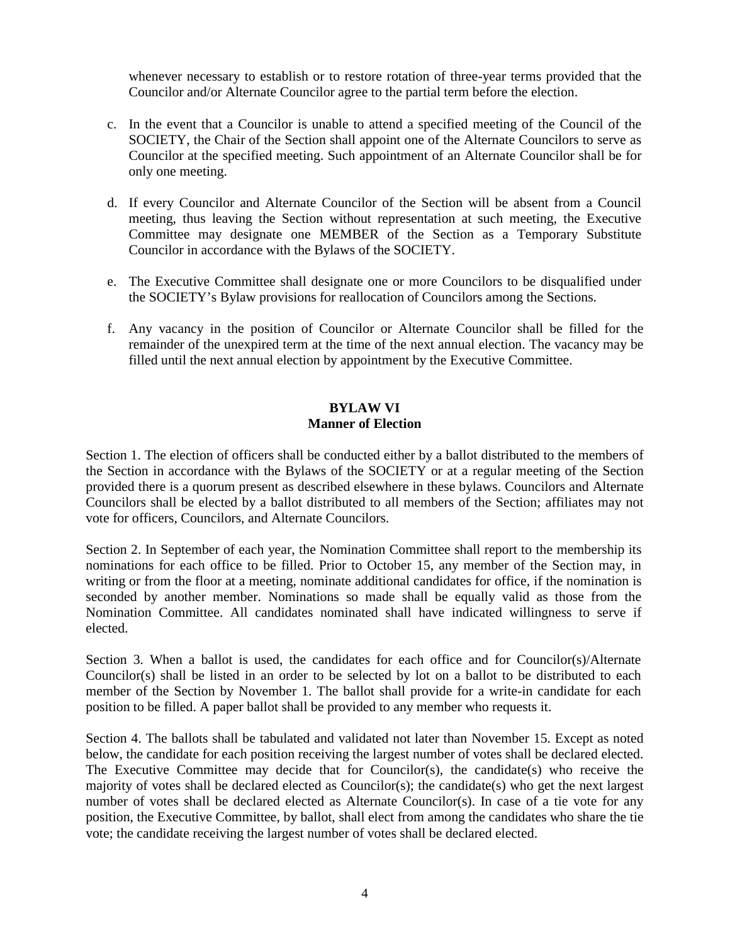whenever necessary to establish or to restore rotation of three-year terms provided that the Councilor and/or Alternate Councilor agree to the partial term before the election.

- c. In the event that a Councilor is unable to attend a specified meeting of the Council of the SOCIETY, the Chair of the Section shall appoint one of the Alternate Councilors to serve as Councilor at the specified meeting. Such appointment of an Alternate Councilor shall be for only one meeting.
- d. If every Councilor and Alternate Councilor of the Section will be absent from a Council meeting, thus leaving the Section without representation at such meeting, the Executive Committee may designate one MEMBER of the Section as a Temporary Substitute Councilor in accordance with the Bylaws of the SOCIETY.
- e. The Executive Committee shall designate one or more Councilors to be disqualified under the SOCIETY's Bylaw provisions for reallocation of Councilors among the Sections.
- f. Any vacancy in the position of Councilor or Alternate Councilor shall be filled for the remainder of the unexpired term at the time of the next annual election. The vacancy may be filled until the next annual election by appointment by the Executive Committee.

# **BYLAW VI Manner of Election**

Section 1. The election of officers shall be conducted either by a ballot distributed to the members of the Section in accordance with the Bylaws of the SOCIETY or at a regular meeting of the Section provided there is a quorum present as described elsewhere in these bylaws. Councilors and Alternate Councilors shall be elected by a ballot distributed to all members of the Section; affiliates may not vote for officers, Councilors, and Alternate Councilors.

Section 2. In September of each year, the Nomination Committee shall report to the membership its nominations for each office to be filled. Prior to October 15, any member of the Section may, in writing or from the floor at a meeting, nominate additional candidates for office, if the nomination is seconded by another member. Nominations so made shall be equally valid as those from the Nomination Committee. All candidates nominated shall have indicated willingness to serve if elected.

Section 3. When a ballot is used, the candidates for each office and for Councilor(s)/Alternate Councilor(s) shall be listed in an order to be selected by lot on a ballot to be distributed to each member of the Section by November 1. The ballot shall provide for a write-in candidate for each position to be filled. A paper ballot shall be provided to any member who requests it.

Section 4. The ballots shall be tabulated and validated not later than November 15. Except as noted below, the candidate for each position receiving the largest number of votes shall be declared elected. The Executive Committee may decide that for Councilor(s), the candidate(s) who receive the majority of votes shall be declared elected as Councilor(s); the candidate(s) who get the next largest number of votes shall be declared elected as Alternate Councilor(s). In case of a tie vote for any position, the Executive Committee, by ballot, shall elect from among the candidates who share the tie vote; the candidate receiving the largest number of votes shall be declared elected.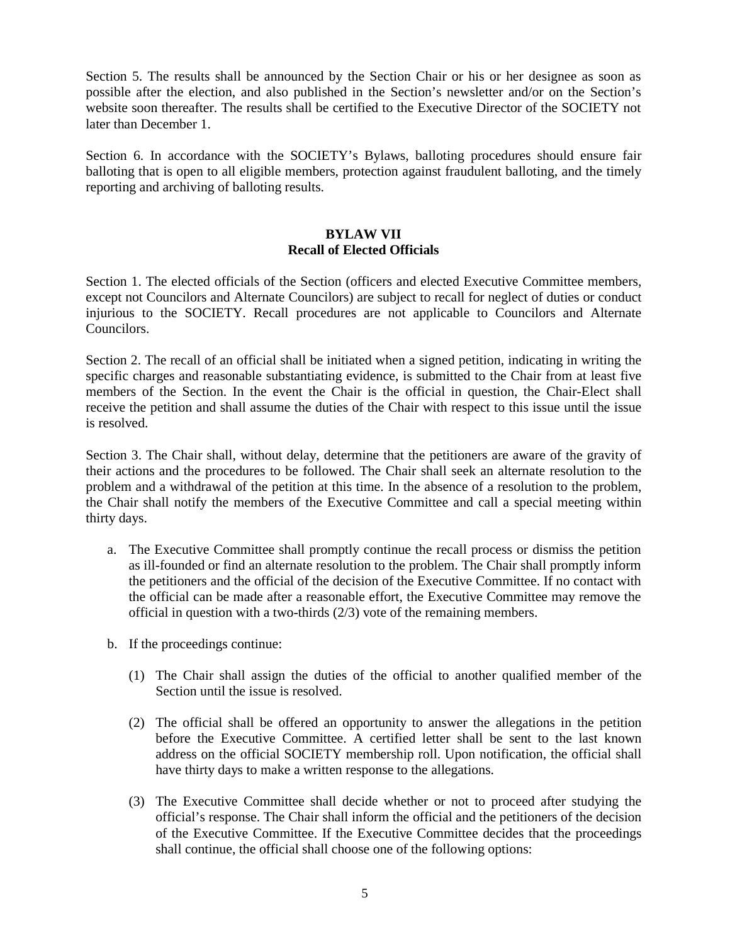Section 5. The results shall be announced by the Section Chair or his or her designee as soon as possible after the election, and also published in the Section's newsletter and/or on the Section's website soon thereafter. The results shall be certified to the Executive Director of the SOCIETY not later than December 1.

Section 6. In accordance with the SOCIETY's Bylaws, balloting procedures should ensure fair balloting that is open to all eligible members, protection against fraudulent balloting, and the timely reporting and archiving of balloting results.

# **BYLAW VII Recall of Elected Officials**

Section 1. The elected officials of the Section (officers and elected Executive Committee members, except not Councilors and Alternate Councilors) are subject to recall for neglect of duties or conduct injurious to the SOCIETY. Recall procedures are not applicable to Councilors and Alternate Councilors.

Section 2. The recall of an official shall be initiated when a signed petition, indicating in writing the specific charges and reasonable substantiating evidence, is submitted to the Chair from at least five members of the Section. In the event the Chair is the official in question, the Chair-Elect shall receive the petition and shall assume the duties of the Chair with respect to this issue until the issue is resolved.

Section 3. The Chair shall, without delay, determine that the petitioners are aware of the gravity of their actions and the procedures to be followed. The Chair shall seek an alternate resolution to the problem and a withdrawal of the petition at this time. In the absence of a resolution to the problem, the Chair shall notify the members of the Executive Committee and call a special meeting within thirty days.

- a. The Executive Committee shall promptly continue the recall process or dismiss the petition as ill-founded or find an alternate resolution to the problem. The Chair shall promptly inform the petitioners and the official of the decision of the Executive Committee. If no contact with the official can be made after a reasonable effort, the Executive Committee may remove the official in question with a two-thirds (2/3) vote of the remaining members.
- b. If the proceedings continue:
	- (1) The Chair shall assign the duties of the official to another qualified member of the Section until the issue is resolved.
	- (2) The official shall be offered an opportunity to answer the allegations in the petition before the Executive Committee. A certified letter shall be sent to the last known address on the official SOCIETY membership roll. Upon notification, the official shall have thirty days to make a written response to the allegations.
	- (3) The Executive Committee shall decide whether or not to proceed after studying the official's response. The Chair shall inform the official and the petitioners of the decision of the Executive Committee. If the Executive Committee decides that the proceedings shall continue, the official shall choose one of the following options: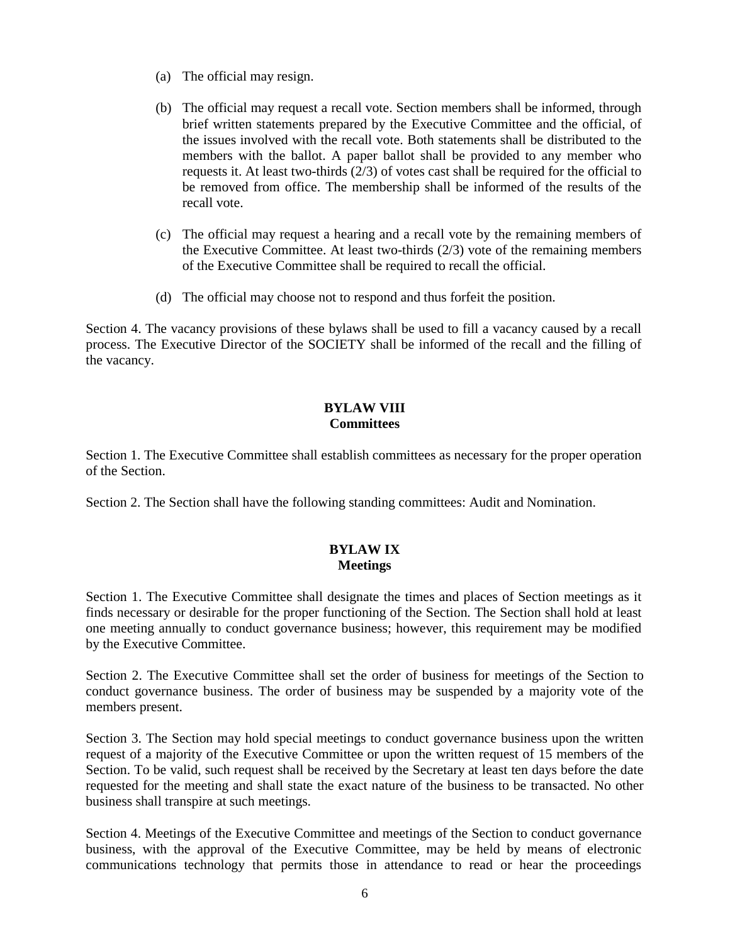- (a) The official may resign.
- (b) The official may request a recall vote. Section members shall be informed, through brief written statements prepared by the Executive Committee and the official, of the issues involved with the recall vote. Both statements shall be distributed to the members with the ballot. A paper ballot shall be provided to any member who requests it. At least two-thirds  $(2/3)$  of votes cast shall be required for the official to be removed from office. The membership shall be informed of the results of the recall vote.
- (c) The official may request a hearing and a recall vote by the remaining members of the Executive Committee. At least two-thirds (2/3) vote of the remaining members of the Executive Committee shall be required to recall the official.
- (d) The official may choose not to respond and thus forfeit the position.

Section 4. The vacancy provisions of these bylaws shall be used to fill a vacancy caused by a recall process. The Executive Director of the SOCIETY shall be informed of the recall and the filling of the vacancy.

# **BYLAW VIII Committees**

Section 1. The Executive Committee shall establish committees as necessary for the proper operation of the Section.

Section 2. The Section shall have the following standing committees: Audit and Nomination.

# **BYLAW IX Meetings**

Section 1. The Executive Committee shall designate the times and places of Section meetings as it finds necessary or desirable for the proper functioning of the Section. The Section shall hold at least one meeting annually to conduct governance business; however, this requirement may be modified by the Executive Committee.

Section 2. The Executive Committee shall set the order of business for meetings of the Section to conduct governance business. The order of business may be suspended by a majority vote of the members present.

Section 3. The Section may hold special meetings to conduct governance business upon the written request of a majority of the Executive Committee or upon the written request of 15 members of the Section. To be valid, such request shall be received by the Secretary at least ten days before the date requested for the meeting and shall state the exact nature of the business to be transacted. No other business shall transpire at such meetings.

Section 4. Meetings of the Executive Committee and meetings of the Section to conduct governance business, with the approval of the Executive Committee, may be held by means of electronic communications technology that permits those in attendance to read or hear the proceedings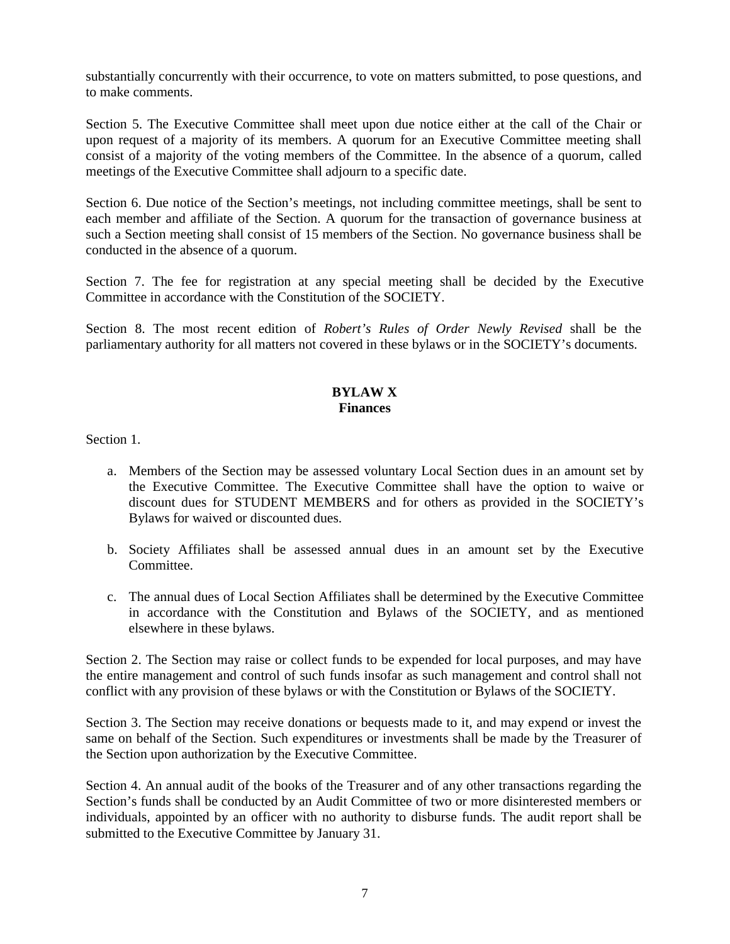substantially concurrently with their occurrence, to vote on matters submitted, to pose questions, and to make comments.

Section 5. The Executive Committee shall meet upon due notice either at the call of the Chair or upon request of a majority of its members. A quorum for an Executive Committee meeting shall consist of a majority of the voting members of the Committee. In the absence of a quorum, called meetings of the Executive Committee shall adjourn to a specific date.

Section 6. Due notice of the Section's meetings, not including committee meetings, shall be sent to each member and affiliate of the Section. A quorum for the transaction of governance business at such a Section meeting shall consist of 15 members of the Section. No governance business shall be conducted in the absence of a quorum.

Section 7. The fee for registration at any special meeting shall be decided by the Executive Committee in accordance with the Constitution of the SOCIETY.

Section 8. The most recent edition of *Robert's Rules of Order Newly Revised* shall be the parliamentary authority for all matters not covered in these bylaws or in the SOCIETY's documents.

#### **BYLAW X Finances**

Section 1.

- a. Members of the Section may be assessed voluntary Local Section dues in an amount set by the Executive Committee. The Executive Committee shall have the option to waive or discount dues for STUDENT MEMBERS and for others as provided in the SOCIETY's Bylaws for waived or discounted dues.
- b. Society Affiliates shall be assessed annual dues in an amount set by the Executive Committee.
- c. The annual dues of Local Section Affiliates shall be determined by the Executive Committee in accordance with the Constitution and Bylaws of the SOCIETY, and as mentioned elsewhere in these bylaws.

Section 2. The Section may raise or collect funds to be expended for local purposes, and may have the entire management and control of such funds insofar as such management and control shall not conflict with any provision of these bylaws or with the Constitution or Bylaws of the SOCIETY.

Section 3. The Section may receive donations or bequests made to it, and may expend or invest the same on behalf of the Section. Such expenditures or investments shall be made by the Treasurer of the Section upon authorization by the Executive Committee.

Section 4. An annual audit of the books of the Treasurer and of any other transactions regarding the Section's funds shall be conducted by an Audit Committee of two or more disinterested members or individuals, appointed by an officer with no authority to disburse funds. The audit report shall be submitted to the Executive Committee by January 31.